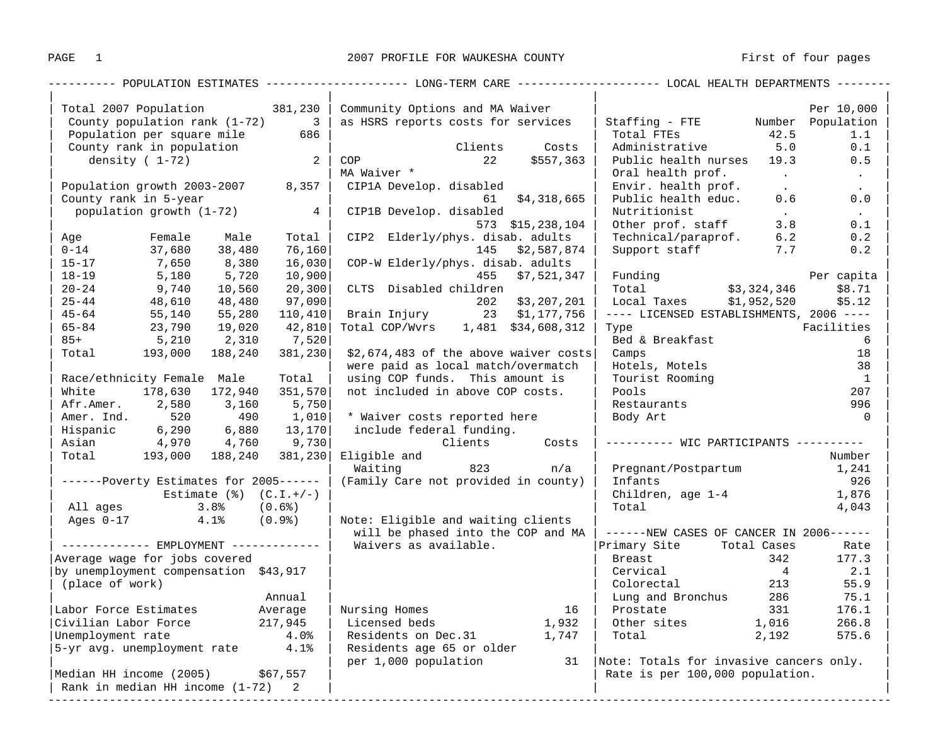| Total 2007 Population 381,230     |                                                                                                                                           |                                                                                                                                                                        | Community Options and MA Waiver                                                                                                                                                                                                                                                                                                                                                                                                                                                                                  |                                                                                                                                                                                                          |                                               |                                                                                                                                                                                                                                                                                                                                                                                                                                                                                                                                                                                                                                                                                                                                                                                                              |                                                                                                                                                                                                           | Per 10,000                                                                                                                                                                                                                                                                                                                                                                                                                                                                                                                                                                                                                                                                                                                            |
|-----------------------------------|-------------------------------------------------------------------------------------------------------------------------------------------|------------------------------------------------------------------------------------------------------------------------------------------------------------------------|------------------------------------------------------------------------------------------------------------------------------------------------------------------------------------------------------------------------------------------------------------------------------------------------------------------------------------------------------------------------------------------------------------------------------------------------------------------------------------------------------------------|----------------------------------------------------------------------------------------------------------------------------------------------------------------------------------------------------------|-----------------------------------------------|--------------------------------------------------------------------------------------------------------------------------------------------------------------------------------------------------------------------------------------------------------------------------------------------------------------------------------------------------------------------------------------------------------------------------------------------------------------------------------------------------------------------------------------------------------------------------------------------------------------------------------------------------------------------------------------------------------------------------------------------------------------------------------------------------------------|-----------------------------------------------------------------------------------------------------------------------------------------------------------------------------------------------------------|---------------------------------------------------------------------------------------------------------------------------------------------------------------------------------------------------------------------------------------------------------------------------------------------------------------------------------------------------------------------------------------------------------------------------------------------------------------------------------------------------------------------------------------------------------------------------------------------------------------------------------------------------------------------------------------------------------------------------------------|
| County population rank $(1-72)$ 3 |                                                                                                                                           |                                                                                                                                                                        | as HSRS reports costs for services                                                                                                                                                                                                                                                                                                                                                                                                                                                                               |                                                                                                                                                                                                          |                                               | Staffing - FTE Mumber Population                                                                                                                                                                                                                                                                                                                                                                                                                                                                                                                                                                                                                                                                                                                                                                             |                                                                                                                                                                                                           |                                                                                                                                                                                                                                                                                                                                                                                                                                                                                                                                                                                                                                                                                                                                       |
|                                   |                                                                                                                                           |                                                                                                                                                                        |                                                                                                                                                                                                                                                                                                                                                                                                                                                                                                                  |                                                                                                                                                                                                          |                                               |                                                                                                                                                                                                                                                                                                                                                                                                                                                                                                                                                                                                                                                                                                                                                                                                              | 1.1                                                                                                                                                                                                       |                                                                                                                                                                                                                                                                                                                                                                                                                                                                                                                                                                                                                                                                                                                                       |
| County rank in population         |                                                                                                                                           |                                                                                                                                                                        |                                                                                                                                                                                                                                                                                                                                                                                                                                                                                                                  |                                                                                                                                                                                                          |                                               |                                                                                                                                                                                                                                                                                                                                                                                                                                                                                                                                                                                                                                                                                                                                                                                                              | 0.1                                                                                                                                                                                                       |                                                                                                                                                                                                                                                                                                                                                                                                                                                                                                                                                                                                                                                                                                                                       |
| density $(1-72)$                  |                                                                                                                                           |                                                                                                                                                                        |                                                                                                                                                                                                                                                                                                                                                                                                                                                                                                                  |                                                                                                                                                                                                          |                                               |                                                                                                                                                                                                                                                                                                                                                                                                                                                                                                                                                                                                                                                                                                                                                                                                              | 0.5                                                                                                                                                                                                       |                                                                                                                                                                                                                                                                                                                                                                                                                                                                                                                                                                                                                                                                                                                                       |
|                                   |                                                                                                                                           |                                                                                                                                                                        |                                                                                                                                                                                                                                                                                                                                                                                                                                                                                                                  |                                                                                                                                                                                                          |                                               |                                                                                                                                                                                                                                                                                                                                                                                                                                                                                                                                                                                                                                                                                                                                                                                                              |                                                                                                                                                                                                           | $\sim 100$ km s $^{-1}$                                                                                                                                                                                                                                                                                                                                                                                                                                                                                                                                                                                                                                                                                                               |
|                                   |                                                                                                                                           |                                                                                                                                                                        |                                                                                                                                                                                                                                                                                                                                                                                                                                                                                                                  |                                                                                                                                                                                                          |                                               |                                                                                                                                                                                                                                                                                                                                                                                                                                                                                                                                                                                                                                                                                                                                                                                                              | $\sim 100$ km s $^{-1}$                                                                                                                                                                                   | $\sim 100$                                                                                                                                                                                                                                                                                                                                                                                                                                                                                                                                                                                                                                                                                                                            |
|                                   |                                                                                                                                           |                                                                                                                                                                        |                                                                                                                                                                                                                                                                                                                                                                                                                                                                                                                  |                                                                                                                                                                                                          |                                               |                                                                                                                                                                                                                                                                                                                                                                                                                                                                                                                                                                                                                                                                                                                                                                                                              | 0.6                                                                                                                                                                                                       | 0.0                                                                                                                                                                                                                                                                                                                                                                                                                                                                                                                                                                                                                                                                                                                                   |
|                                   |                                                                                                                                           |                                                                                                                                                                        |                                                                                                                                                                                                                                                                                                                                                                                                                                                                                                                  |                                                                                                                                                                                                          |                                               |                                                                                                                                                                                                                                                                                                                                                                                                                                                                                                                                                                                                                                                                                                                                                                                                              | $\sim 100$ km s $^{-1}$                                                                                                                                                                                   | $\sim 100$                                                                                                                                                                                                                                                                                                                                                                                                                                                                                                                                                                                                                                                                                                                            |
|                                   |                                                                                                                                           |                                                                                                                                                                        |                                                                                                                                                                                                                                                                                                                                                                                                                                                                                                                  |                                                                                                                                                                                                          |                                               |                                                                                                                                                                                                                                                                                                                                                                                                                                                                                                                                                                                                                                                                                                                                                                                                              |                                                                                                                                                                                                           | 0.1                                                                                                                                                                                                                                                                                                                                                                                                                                                                                                                                                                                                                                                                                                                                   |
|                                   |                                                                                                                                           |                                                                                                                                                                        |                                                                                                                                                                                                                                                                                                                                                                                                                                                                                                                  |                                                                                                                                                                                                          |                                               |                                                                                                                                                                                                                                                                                                                                                                                                                                                                                                                                                                                                                                                                                                                                                                                                              |                                                                                                                                                                                                           | 0.2                                                                                                                                                                                                                                                                                                                                                                                                                                                                                                                                                                                                                                                                                                                                   |
|                                   |                                                                                                                                           |                                                                                                                                                                        |                                                                                                                                                                                                                                                                                                                                                                                                                                                                                                                  |                                                                                                                                                                                                          |                                               |                                                                                                                                                                                                                                                                                                                                                                                                                                                                                                                                                                                                                                                                                                                                                                                                              |                                                                                                                                                                                                           | 0.2                                                                                                                                                                                                                                                                                                                                                                                                                                                                                                                                                                                                                                                                                                                                   |
|                                   |                                                                                                                                           |                                                                                                                                                                        |                                                                                                                                                                                                                                                                                                                                                                                                                                                                                                                  |                                                                                                                                                                                                          |                                               |                                                                                                                                                                                                                                                                                                                                                                                                                                                                                                                                                                                                                                                                                                                                                                                                              |                                                                                                                                                                                                           |                                                                                                                                                                                                                                                                                                                                                                                                                                                                                                                                                                                                                                                                                                                                       |
|                                   |                                                                                                                                           |                                                                                                                                                                        |                                                                                                                                                                                                                                                                                                                                                                                                                                                                                                                  |                                                                                                                                                                                                          |                                               | Funding                                                                                                                                                                                                                                                                                                                                                                                                                                                                                                                                                                                                                                                                                                                                                                                                      |                                                                                                                                                                                                           |                                                                                                                                                                                                                                                                                                                                                                                                                                                                                                                                                                                                                                                                                                                                       |
|                                   | 10,560                                                                                                                                    |                                                                                                                                                                        |                                                                                                                                                                                                                                                                                                                                                                                                                                                                                                                  |                                                                                                                                                                                                          |                                               |                                                                                                                                                                                                                                                                                                                                                                                                                                                                                                                                                                                                                                                                                                                                                                                                              |                                                                                                                                                                                                           | \$8.71                                                                                                                                                                                                                                                                                                                                                                                                                                                                                                                                                                                                                                                                                                                                |
|                                   | 48,480                                                                                                                                    |                                                                                                                                                                        |                                                                                                                                                                                                                                                                                                                                                                                                                                                                                                                  |                                                                                                                                                                                                          |                                               |                                                                                                                                                                                                                                                                                                                                                                                                                                                                                                                                                                                                                                                                                                                                                                                                              |                                                                                                                                                                                                           | \$5.12                                                                                                                                                                                                                                                                                                                                                                                                                                                                                                                                                                                                                                                                                                                                |
|                                   |                                                                                                                                           |                                                                                                                                                                        |                                                                                                                                                                                                                                                                                                                                                                                                                                                                                                                  |                                                                                                                                                                                                          |                                               |                                                                                                                                                                                                                                                                                                                                                                                                                                                                                                                                                                                                                                                                                                                                                                                                              |                                                                                                                                                                                                           |                                                                                                                                                                                                                                                                                                                                                                                                                                                                                                                                                                                                                                                                                                                                       |
|                                   |                                                                                                                                           |                                                                                                                                                                        |                                                                                                                                                                                                                                                                                                                                                                                                                                                                                                                  |                                                                                                                                                                                                          |                                               | Type                                                                                                                                                                                                                                                                                                                                                                                                                                                                                                                                                                                                                                                                                                                                                                                                         |                                                                                                                                                                                                           | Facilities                                                                                                                                                                                                                                                                                                                                                                                                                                                                                                                                                                                                                                                                                                                            |
|                                   |                                                                                                                                           |                                                                                                                                                                        |                                                                                                                                                                                                                                                                                                                                                                                                                                                                                                                  |                                                                                                                                                                                                          |                                               |                                                                                                                                                                                                                                                                                                                                                                                                                                                                                                                                                                                                                                                                                                                                                                                                              |                                                                                                                                                                                                           | 6                                                                                                                                                                                                                                                                                                                                                                                                                                                                                                                                                                                                                                                                                                                                     |
| Total 193,000                     |                                                                                                                                           |                                                                                                                                                                        |                                                                                                                                                                                                                                                                                                                                                                                                                                                                                                                  |                                                                                                                                                                                                          |                                               | Camps                                                                                                                                                                                                                                                                                                                                                                                                                                                                                                                                                                                                                                                                                                                                                                                                        |                                                                                                                                                                                                           | 18                                                                                                                                                                                                                                                                                                                                                                                                                                                                                                                                                                                                                                                                                                                                    |
|                                   |                                                                                                                                           |                                                                                                                                                                        |                                                                                                                                                                                                                                                                                                                                                                                                                                                                                                                  |                                                                                                                                                                                                          |                                               | Hotels, Motels                                                                                                                                                                                                                                                                                                                                                                                                                                                                                                                                                                                                                                                                                                                                                                                               |                                                                                                                                                                                                           | 38                                                                                                                                                                                                                                                                                                                                                                                                                                                                                                                                                                                                                                                                                                                                    |
|                                   |                                                                                                                                           | Total                                                                                                                                                                  |                                                                                                                                                                                                                                                                                                                                                                                                                                                                                                                  |                                                                                                                                                                                                          |                                               | Tourist Rooming                                                                                                                                                                                                                                                                                                                                                                                                                                                                                                                                                                                                                                                                                                                                                                                              |                                                                                                                                                                                                           | $\overline{1}$                                                                                                                                                                                                                                                                                                                                                                                                                                                                                                                                                                                                                                                                                                                        |
|                                   |                                                                                                                                           |                                                                                                                                                                        |                                                                                                                                                                                                                                                                                                                                                                                                                                                                                                                  |                                                                                                                                                                                                          |                                               | Pools                                                                                                                                                                                                                                                                                                                                                                                                                                                                                                                                                                                                                                                                                                                                                                                                        |                                                                                                                                                                                                           | 207                                                                                                                                                                                                                                                                                                                                                                                                                                                                                                                                                                                                                                                                                                                                   |
|                                   |                                                                                                                                           |                                                                                                                                                                        |                                                                                                                                                                                                                                                                                                                                                                                                                                                                                                                  |                                                                                                                                                                                                          |                                               | Restaurants                                                                                                                                                                                                                                                                                                                                                                                                                                                                                                                                                                                                                                                                                                                                                                                                  |                                                                                                                                                                                                           | 996                                                                                                                                                                                                                                                                                                                                                                                                                                                                                                                                                                                                                                                                                                                                   |
| Amer. Ind. 520                    | 490                                                                                                                                       |                                                                                                                                                                        |                                                                                                                                                                                                                                                                                                                                                                                                                                                                                                                  |                                                                                                                                                                                                          |                                               | Body Art                                                                                                                                                                                                                                                                                                                                                                                                                                                                                                                                                                                                                                                                                                                                                                                                     |                                                                                                                                                                                                           | $\overline{0}$                                                                                                                                                                                                                                                                                                                                                                                                                                                                                                                                                                                                                                                                                                                        |
|                                   |                                                                                                                                           |                                                                                                                                                                        |                                                                                                                                                                                                                                                                                                                                                                                                                                                                                                                  |                                                                                                                                                                                                          |                                               |                                                                                                                                                                                                                                                                                                                                                                                                                                                                                                                                                                                                                                                                                                                                                                                                              |                                                                                                                                                                                                           |                                                                                                                                                                                                                                                                                                                                                                                                                                                                                                                                                                                                                                                                                                                                       |
|                                   |                                                                                                                                           |                                                                                                                                                                        |                                                                                                                                                                                                                                                                                                                                                                                                                                                                                                                  |                                                                                                                                                                                                          |                                               |                                                                                                                                                                                                                                                                                                                                                                                                                                                                                                                                                                                                                                                                                                                                                                                                              |                                                                                                                                                                                                           |                                                                                                                                                                                                                                                                                                                                                                                                                                                                                                                                                                                                                                                                                                                                       |
|                                   |                                                                                                                                           |                                                                                                                                                                        |                                                                                                                                                                                                                                                                                                                                                                                                                                                                                                                  |                                                                                                                                                                                                          |                                               |                                                                                                                                                                                                                                                                                                                                                                                                                                                                                                                                                                                                                                                                                                                                                                                                              |                                                                                                                                                                                                           | Number                                                                                                                                                                                                                                                                                                                                                                                                                                                                                                                                                                                                                                                                                                                                |
|                                   |                                                                                                                                           |                                                                                                                                                                        | Waiting                                                                                                                                                                                                                                                                                                                                                                                                                                                                                                          |                                                                                                                                                                                                          |                                               |                                                                                                                                                                                                                                                                                                                                                                                                                                                                                                                                                                                                                                                                                                                                                                                                              |                                                                                                                                                                                                           | 1,241                                                                                                                                                                                                                                                                                                                                                                                                                                                                                                                                                                                                                                                                                                                                 |
|                                   |                                                                                                                                           |                                                                                                                                                                        |                                                                                                                                                                                                                                                                                                                                                                                                                                                                                                                  |                                                                                                                                                                                                          |                                               | Infants                                                                                                                                                                                                                                                                                                                                                                                                                                                                                                                                                                                                                                                                                                                                                                                                      |                                                                                                                                                                                                           | 926                                                                                                                                                                                                                                                                                                                                                                                                                                                                                                                                                                                                                                                                                                                                   |
|                                   |                                                                                                                                           |                                                                                                                                                                        |                                                                                                                                                                                                                                                                                                                                                                                                                                                                                                                  |                                                                                                                                                                                                          |                                               |                                                                                                                                                                                                                                                                                                                                                                                                                                                                                                                                                                                                                                                                                                                                                                                                              |                                                                                                                                                                                                           | 1,876                                                                                                                                                                                                                                                                                                                                                                                                                                                                                                                                                                                                                                                                                                                                 |
| All ages                          |                                                                                                                                           |                                                                                                                                                                        |                                                                                                                                                                                                                                                                                                                                                                                                                                                                                                                  |                                                                                                                                                                                                          |                                               | Total                                                                                                                                                                                                                                                                                                                                                                                                                                                                                                                                                                                                                                                                                                                                                                                                        |                                                                                                                                                                                                           | 4,043                                                                                                                                                                                                                                                                                                                                                                                                                                                                                                                                                                                                                                                                                                                                 |
|                                   |                                                                                                                                           |                                                                                                                                                                        |                                                                                                                                                                                                                                                                                                                                                                                                                                                                                                                  |                                                                                                                                                                                                          |                                               |                                                                                                                                                                                                                                                                                                                                                                                                                                                                                                                                                                                                                                                                                                                                                                                                              |                                                                                                                                                                                                           |                                                                                                                                                                                                                                                                                                                                                                                                                                                                                                                                                                                                                                                                                                                                       |
|                                   |                                                                                                                                           |                                                                                                                                                                        |                                                                                                                                                                                                                                                                                                                                                                                                                                                                                                                  |                                                                                                                                                                                                          |                                               |                                                                                                                                                                                                                                                                                                                                                                                                                                                                                                                                                                                                                                                                                                                                                                                                              |                                                                                                                                                                                                           |                                                                                                                                                                                                                                                                                                                                                                                                                                                                                                                                                                                                                                                                                                                                       |
|                                   |                                                                                                                                           |                                                                                                                                                                        |                                                                                                                                                                                                                                                                                                                                                                                                                                                                                                                  |                                                                                                                                                                                                          |                                               |                                                                                                                                                                                                                                                                                                                                                                                                                                                                                                                                                                                                                                                                                                                                                                                                              |                                                                                                                                                                                                           | Rate                                                                                                                                                                                                                                                                                                                                                                                                                                                                                                                                                                                                                                                                                                                                  |
|                                   |                                                                                                                                           |                                                                                                                                                                        |                                                                                                                                                                                                                                                                                                                                                                                                                                                                                                                  |                                                                                                                                                                                                          |                                               |                                                                                                                                                                                                                                                                                                                                                                                                                                                                                                                                                                                                                                                                                                                                                                                                              | 342                                                                                                                                                                                                       | 177.3                                                                                                                                                                                                                                                                                                                                                                                                                                                                                                                                                                                                                                                                                                                                 |
|                                   |                                                                                                                                           |                                                                                                                                                                        |                                                                                                                                                                                                                                                                                                                                                                                                                                                                                                                  |                                                                                                                                                                                                          |                                               |                                                                                                                                                                                                                                                                                                                                                                                                                                                                                                                                                                                                                                                                                                                                                                                                              |                                                                                                                                                                                                           | 2.1                                                                                                                                                                                                                                                                                                                                                                                                                                                                                                                                                                                                                                                                                                                                   |
|                                   |                                                                                                                                           |                                                                                                                                                                        |                                                                                                                                                                                                                                                                                                                                                                                                                                                                                                                  |                                                                                                                                                                                                          |                                               |                                                                                                                                                                                                                                                                                                                                                                                                                                                                                                                                                                                                                                                                                                                                                                                                              |                                                                                                                                                                                                           | 55.9                                                                                                                                                                                                                                                                                                                                                                                                                                                                                                                                                                                                                                                                                                                                  |
|                                   |                                                                                                                                           |                                                                                                                                                                        |                                                                                                                                                                                                                                                                                                                                                                                                                                                                                                                  |                                                                                                                                                                                                          |                                               |                                                                                                                                                                                                                                                                                                                                                                                                                                                                                                                                                                                                                                                                                                                                                                                                              |                                                                                                                                                                                                           | 75.1                                                                                                                                                                                                                                                                                                                                                                                                                                                                                                                                                                                                                                                                                                                                  |
|                                   |                                                                                                                                           |                                                                                                                                                                        |                                                                                                                                                                                                                                                                                                                                                                                                                                                                                                                  |                                                                                                                                                                                                          |                                               |                                                                                                                                                                                                                                                                                                                                                                                                                                                                                                                                                                                                                                                                                                                                                                                                              |                                                                                                                                                                                                           | 176.1                                                                                                                                                                                                                                                                                                                                                                                                                                                                                                                                                                                                                                                                                                                                 |
|                                   |                                                                                                                                           |                                                                                                                                                                        |                                                                                                                                                                                                                                                                                                                                                                                                                                                                                                                  |                                                                                                                                                                                                          |                                               |                                                                                                                                                                                                                                                                                                                                                                                                                                                                                                                                                                                                                                                                                                                                                                                                              |                                                                                                                                                                                                           | 266.8                                                                                                                                                                                                                                                                                                                                                                                                                                                                                                                                                                                                                                                                                                                                 |
|                                   |                                                                                                                                           |                                                                                                                                                                        |                                                                                                                                                                                                                                                                                                                                                                                                                                                                                                                  |                                                                                                                                                                                                          |                                               |                                                                                                                                                                                                                                                                                                                                                                                                                                                                                                                                                                                                                                                                                                                                                                                                              |                                                                                                                                                                                                           | 575.6                                                                                                                                                                                                                                                                                                                                                                                                                                                                                                                                                                                                                                                                                                                                 |
|                                   |                                                                                                                                           |                                                                                                                                                                        |                                                                                                                                                                                                                                                                                                                                                                                                                                                                                                                  |                                                                                                                                                                                                          |                                               |                                                                                                                                                                                                                                                                                                                                                                                                                                                                                                                                                                                                                                                                                                                                                                                                              |                                                                                                                                                                                                           |                                                                                                                                                                                                                                                                                                                                                                                                                                                                                                                                                                                                                                                                                                                                       |
|                                   |                                                                                                                                           |                                                                                                                                                                        |                                                                                                                                                                                                                                                                                                                                                                                                                                                                                                                  |                                                                                                                                                                                                          |                                               |                                                                                                                                                                                                                                                                                                                                                                                                                                                                                                                                                                                                                                                                                                                                                                                                              |                                                                                                                                                                                                           |                                                                                                                                                                                                                                                                                                                                                                                                                                                                                                                                                                                                                                                                                                                                       |
|                                   |                                                                                                                                           |                                                                                                                                                                        |                                                                                                                                                                                                                                                                                                                                                                                                                                                                                                                  |                                                                                                                                                                                                          |                                               |                                                                                                                                                                                                                                                                                                                                                                                                                                                                                                                                                                                                                                                                                                                                                                                                              |                                                                                                                                                                                                           |                                                                                                                                                                                                                                                                                                                                                                                                                                                                                                                                                                                                                                                                                                                                       |
|                                   | Female<br>37,680<br>7,650<br>5,180<br>$9,740$<br>$48$<br>55,140<br>23,790<br>5,210<br>Asian 4,970<br>(place of work)<br>Unemployment rate | County rank in 5-year<br>Male<br>38,480<br>8,380<br>5,720<br>55,280<br>19,020<br>2,310<br>Afr.Amer. 2,580 3,160<br>Amer. Ind. 520 490<br>Average wage for jobs covered | Population per square mile<br>686<br>Population growth 2003-2007 8,357<br>Total  <br>76,160<br>10,900<br>97,090<br>7,520<br>188,240<br>Race/ethnicity Female Male<br>White 178,630 172,940<br>5,750<br>$---Poverty$ Estimates for 2005------<br>Estimate $(\hat{\mathcal{S}})$ $(C.I.+/-)$<br>$3.8$ % (0.6%)<br>Ages 0-17 4.1% (0.9%)<br>------------ EMPLOYMENT ------------<br>by unemployment compensation \$43,917<br>Annual<br>4.0%<br>5-yr avg. unemployment rate 4.1%<br>Median HH income (2005) \$67,557 | $\begin{array}{c c} 2 & \end{array}$<br>COP<br>MA Waiver *<br>16,030<br>20, 300<br>110,410 <br>42,810<br>381,230 <br>351,570<br>$1,010$  <br>$4,760$ 9,730<br>Total 193,000 188,240 381,230 Eligible and | Waivers as available.<br>per 1,000 population | Clients<br>Costs<br>22<br>CIP1A Develop. disabled<br>61<br>population growth $(1-72)$ 4   CIP1B Develop. disabled<br>CIP2 Elderly/phys. disab. adults<br>COP-W Elderly/phys. disab. adults<br>455<br>CLTS Disabled children<br>Brain Injury 23 \$1,177,756<br>Total COP/Wvrs 1,481 \$34,608,312<br>were paid as local match/overmatch<br>using COP funds. This amount is<br>not included in above COP costs.<br>* Waiver costs reported here<br>Hispanic $\begin{array}{ccc} 6,290 & 6,880 & 13,170 \end{array}$ include federal funding.<br>Clients Costs<br>$823$ n/a<br>(Family Care not provided in county)<br>Note: Eligible and waiting clients<br>will be phased into the COP and MA<br>  Nursing Homes<br>   Licensed beds<br>16<br>1,932<br>Residents on Dec. 31 1,747<br>Residents age 65 or older | Total FTEs<br>\$557,363<br>\$4,318,665<br>Nutritionist<br>573 \$15,238,104<br>145 \$2,587,874<br>\$7,521,347<br>202 \$3,207,201<br>$$2,674,483$ of the above waiver costs<br>Breast<br>Breast<br>Cervical | 42.5<br>Administrative 5.0<br>Public health nurses 19.3<br>Oral health prof.<br>$\sim 10^{11}$ km s $^{-1}$<br>Envir. health prof.<br>Public health educ.<br>Other prof. staff<br>3.8<br>Technical/paraprof.<br>6.2<br>Support staff 7.7<br>Per capita<br>Total \$3,324,346<br>Local Taxes \$1,952,520<br>---- LICENSED ESTABLISHMENTS, 2006 ----<br>Bed & Breakfast<br>---------- WIC PARTICIPANTS ----------<br>Pregnant/Postpartum<br>Children, age 1-4<br>$----NEW$ CASES OF CANCER IN 2006------<br>Primary Site Total Cases<br>$\overline{4}$<br>Colorectal 213<br>Lung and Bronchus 286<br>Prostate 331<br>Other sites 1,016<br>Total 2,192<br>31   Note: Totals for invasive cancers only.<br>Rate is per 100,000 population. |

----------------------------------------------------------------------------------------------------------------------------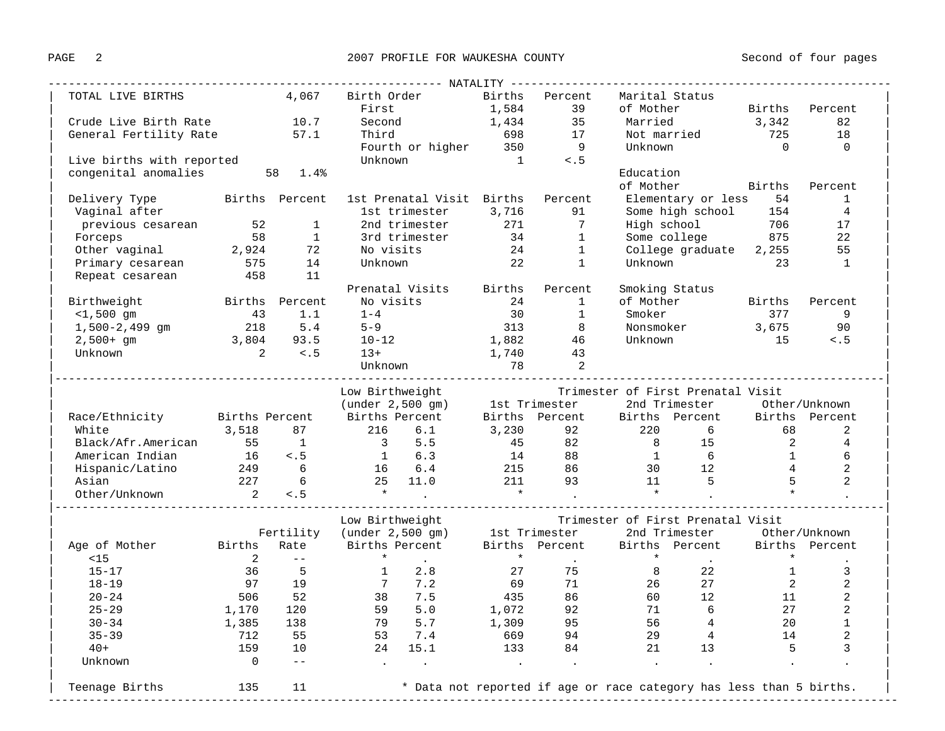| TOTAL LIVE BIRTHS   4,067 Birth Order   Births   Percent                                                                                                                                                                                      |                             |                                                         |                                                      |                                                                                                                         |    |                                                          | Marital Status                                                                                                                                                                 |       |                                         |                |
|-----------------------------------------------------------------------------------------------------------------------------------------------------------------------------------------------------------------------------------------------|-----------------------------|---------------------------------------------------------|------------------------------------------------------|-------------------------------------------------------------------------------------------------------------------------|----|----------------------------------------------------------|--------------------------------------------------------------------------------------------------------------------------------------------------------------------------------|-------|-----------------------------------------|----------------|
|                                                                                                                                                                                                                                               |                             |                                                         | First                                                |                                                                                                                         |    | $1,584$ 39                                               | of Mother Births Percent                                                                                                                                                       |       |                                         |                |
| Crude Live Birth Rate 10.7                                                                                                                                                                                                                    |                             | Second                                                  |                                                      | 1,434                                                                                                                   | 35 | Married                                                  |                                                                                                                                                                                | 3,342 | 82                                      |                |
| General Fertility Rate 57.1                                                                                                                                                                                                                   |                             |                                                         |                                                      |                                                                                                                         |    |                                                          | Third 698 17 Not married 725                                                                                                                                                   |       |                                         | 18             |
|                                                                                                                                                                                                                                               |                             |                                                         |                                                      | Fourth or higher $350$ 9<br>Unknown 1 <.5                                                                               |    |                                                          | Unknown                                                                                                                                                                        |       | $\overline{0}$                          | $\overline{0}$ |
| Live births with reported                                                                                                                                                                                                                     |                             |                                                         |                                                      |                                                                                                                         |    |                                                          |                                                                                                                                                                                |       |                                         |                |
| congenital anomalies 58 1.4%                                                                                                                                                                                                                  |                             |                                                         |                                                      |                                                                                                                         |    |                                                          | Education                                                                                                                                                                      |       |                                         |                |
|                                                                                                                                                                                                                                               |                             |                                                         |                                                      |                                                                                                                         |    |                                                          | of Mother Births Percent                                                                                                                                                       |       |                                         |                |
| Delivery Type 54 Births Percent 1st Prenatal Visit Births Percent Elementary or less 54                                                                                                                                                       |                             |                                                         |                                                      |                                                                                                                         |    |                                                          |                                                                                                                                                                                |       |                                         | <sup>1</sup>   |
|                                                                                                                                                                                                                                               |                             |                                                         |                                                      |                                                                                                                         |    |                                                          | Elementary or less     54              1<br>Some high school       154             4                                                                                           |       |                                         |                |
|                                                                                                                                                                                                                                               |                             |                                                         |                                                      |                                                                                                                         |    |                                                          |                                                                                                                                                                                |       |                                         |                |
|                                                                                                                                                                                                                                               |                             |                                                         |                                                      |                                                                                                                         |    |                                                          |                                                                                                                                                                                |       |                                         |                |
|                                                                                                                                                                                                                                               |                             |                                                         |                                                      |                                                                                                                         |    |                                                          |                                                                                                                                                                                |       |                                         |                |
| 91 Some high school 154 4<br>previous cesarean 52 1 2nd trimester 271 7 High school 154 4<br>Forceps 58 1 3rd trimester 34 1 Some college 875 22<br>0ther vaginal 2,924 72 No visits 24 1 College graduate 2,255 55<br>Primary cesarea        |                             |                                                         |                                                      |                                                                                                                         |    |                                                          |                                                                                                                                                                                |       |                                         |                |
|                                                                                                                                                                                                                                               |                             |                                                         |                                                      |                                                                                                                         |    |                                                          |                                                                                                                                                                                |       |                                         |                |
|                                                                                                                                                                                                                                               |                             |                                                         |                                                      | Prenatal Visits Births                                                                                                  |    | Percent                                                  | Smoking Status                                                                                                                                                                 |       |                                         |                |
| Birthweight <b>Births</b> Percent <b>No visits</b> 24                                                                                                                                                                                         |                             |                                                         |                                                      |                                                                                                                         |    | $\mathbf{1}$                                             | of Mother Births Percent                                                                                                                                                       |       |                                         |                |
|                                                                                                                                                                                                                                               |                             |                                                         |                                                      |                                                                                                                         |    |                                                          |                                                                                                                                                                                |       |                                         |                |
| $-1,500$ gm $-2,499$ gm $-1,500-2,499$ gm $-218$ $-5.4$ $-9$                                                                                                                                                                                  |                             |                                                         |                                                      |                                                                                                                         |    | $\begin{array}{ccc} & 30 & & 1 \\ 313 & & 8 \end{array}$ | Smoker 377 9<br>Nonsmoker 3,675 90                                                                                                                                             |       |                                         |                |
|                                                                                                                                                                                                                                               |                             |                                                         |                                                      |                                                                                                                         |    |                                                          | Unknown $15 \times .5$                                                                                                                                                         |       |                                         |                |
| $2,500+$ gm $3,804$ $93.5$ $10-12$ $1,882$ $46$<br>Unknown $2$ $\leq .5$ $13+$ $1,740$ $43$                                                                                                                                                   |                             |                                                         |                                                      |                                                                                                                         |    |                                                          |                                                                                                                                                                                |       |                                         |                |
|                                                                                                                                                                                                                                               |                             |                                                         |                                                      |                                                                                                                         |    |                                                          |                                                                                                                                                                                |       |                                         |                |
|                                                                                                                                                                                                                                               |                             |                                                         |                                                      |                                                                                                                         |    |                                                          |                                                                                                                                                                                |       |                                         |                |
|                                                                                                                                                                                                                                               |                             |                                                         |                                                      |                                                                                                                         |    |                                                          | Low Birthweight Firmester of First Prenatal Visit<br>(under 2,500 gm) 1st Trimester 2nd Trimester 0ther/Unknown<br>Births Percent Births Percent Births Percent Births Percent |       |                                         |                |
|                                                                                                                                                                                                                                               |                             |                                                         |                                                      |                                                                                                                         |    |                                                          |                                                                                                                                                                                |       |                                         |                |
| Race/Ethnicity Births Percent                                                                                                                                                                                                                 |                             |                                                         |                                                      |                                                                                                                         |    |                                                          |                                                                                                                                                                                |       |                                         |                |
|                                                                                                                                                                                                                                               |                             |                                                         |                                                      |                                                                                                                         |    |                                                          |                                                                                                                                                                                |       |                                         | 2              |
|                                                                                                                                                                                                                                               |                             |                                                         |                                                      |                                                                                                                         |    |                                                          |                                                                                                                                                                                |       |                                         | $\overline{4}$ |
|                                                                                                                                                                                                                                               |                             |                                                         |                                                      |                                                                                                                         |    |                                                          |                                                                                                                                                                                |       |                                         | 6              |
|                                                                                                                                                                                                                                               |                             |                                                         |                                                      |                                                                                                                         |    |                                                          |                                                                                                                                                                                |       |                                         | $\overline{a}$ |
|                                                                                                                                                                                                                                               |                             |                                                         |                                                      |                                                                                                                         |    |                                                          |                                                                                                                                                                                |       |                                         | $\overline{a}$ |
| White 3,518 87 216 6.1 3,230 92 220 6 68<br>Black/Afr.American 55 1 3 5.5 45 82 8 15 2<br>American Indian 16 <.5 1 6.3 14 88 1 6 1<br>Hispanic/Latino 249 6 16 6.4 215 86 30 12 4<br>Asian 227 6 25 11.0 211 93 11 5 5<br>Other/Unknown 2 <.5 |                             |                                                         |                                                      |                                                                                                                         |    |                                                          |                                                                                                                                                                                |       |                                         |                |
|                                                                                                                                                                                                                                               |                             |                                                         |                                                      |                                                                                                                         |    |                                                          |                                                                                                                                                                                |       |                                         |                |
|                                                                                                                                                                                                                                               |                             |                                                         | Low Birthweight                                      |                                                                                                                         |    |                                                          | Trimester of First Prenatal Visit                                                                                                                                              |       |                                         |                |
|                                                                                                                                                                                                                                               |                             |                                                         |                                                      |                                                                                                                         |    |                                                          |                                                                                                                                                                                |       |                                         |                |
| Fertility (under 2,500 gm) 1st Trimester 2nd Trimester Other/Unknown<br>Age of Mother Births Rate Births Percent Births Percent Births Percent is the contract of the servent<br>$15$                                                         |                             | $2 \left( \begin{array}{ccc} 2 & - \end{array} \right)$ |                                                      | $\star$ $\qquad \qquad .$                                                                                               |    |                                                          |                                                                                                                                                                                |       | $\star$                                 |                |
|                                                                                                                                                                                                                                               |                             |                                                         |                                                      |                                                                                                                         |    |                                                          |                                                                                                                                                                                |       |                                         |                |
| $15 - 17$                                                                                                                                                                                                                                     |                             |                                                         |                                                      | $\begin{array}{cccc} 36 & & 5 & & 1 & 2.8 \\ 97 & & 19 & & 7 & 7.2 \end{array}$                                         |    |                                                          |                                                                                                                                                                                |       | $\mathbf{1}$<br>$\frac{1}{2}$           | 3              |
| $18 - 19$                                                                                                                                                                                                                                     |                             |                                                         |                                                      |                                                                                                                         |    |                                                          |                                                                                                                                                                                |       |                                         | $\overline{a}$ |
|                                                                                                                                                                                                                                               | $506$ $52$<br>$1,170$ $120$ |                                                         | $\begin{array}{cc} 38 & 7.5 \\ 59 & 5.0 \end{array}$ |                                                                                                                         |    |                                                          |                                                                                                                                                                                |       | $\begin{array}{c} 11 \\ 27 \end{array}$ | $\overline{2}$ |
| $20 - 24$                                                                                                                                                                                                                                     |                             |                                                         |                                                      |                                                                                                                         |    |                                                          |                                                                                                                                                                                |       |                                         | $\overline{a}$ |
| $25 - 29$                                                                                                                                                                                                                                     |                             |                                                         |                                                      |                                                                                                                         |    |                                                          |                                                                                                                                                                                |       | 20                                      | $\mathbf{1}$   |
| $30 - 34$                                                                                                                                                                                                                                     |                             |                                                         |                                                      |                                                                                                                         |    |                                                          |                                                                                                                                                                                |       |                                         |                |
| 1,385 138<br>$35 - 39$                                                                                                                                                                                                                        | 712 55                      |                                                         |                                                      | $\begin{array}{ccccccc} 79 & & 5.7 & & 1.309 & & 95 & & 56 & 4 \\ 53 & & 7.4 & & & 669 & & 94 & & 29 & & 4 \end{array}$ |    |                                                          |                                                                                                                                                                                |       | 14                                      | $\overline{a}$ |
| $40+$                                                                                                                                                                                                                                         | 159                         | 10                                                      |                                                      |                                                                                                                         |    |                                                          | 24   15.1   133   84   21   13   5                                                                                                                                             |       |                                         | 3              |
| Unknown                                                                                                                                                                                                                                       | $\overline{0}$              | $ -$                                                    |                                                      |                                                                                                                         |    |                                                          |                                                                                                                                                                                |       |                                         |                |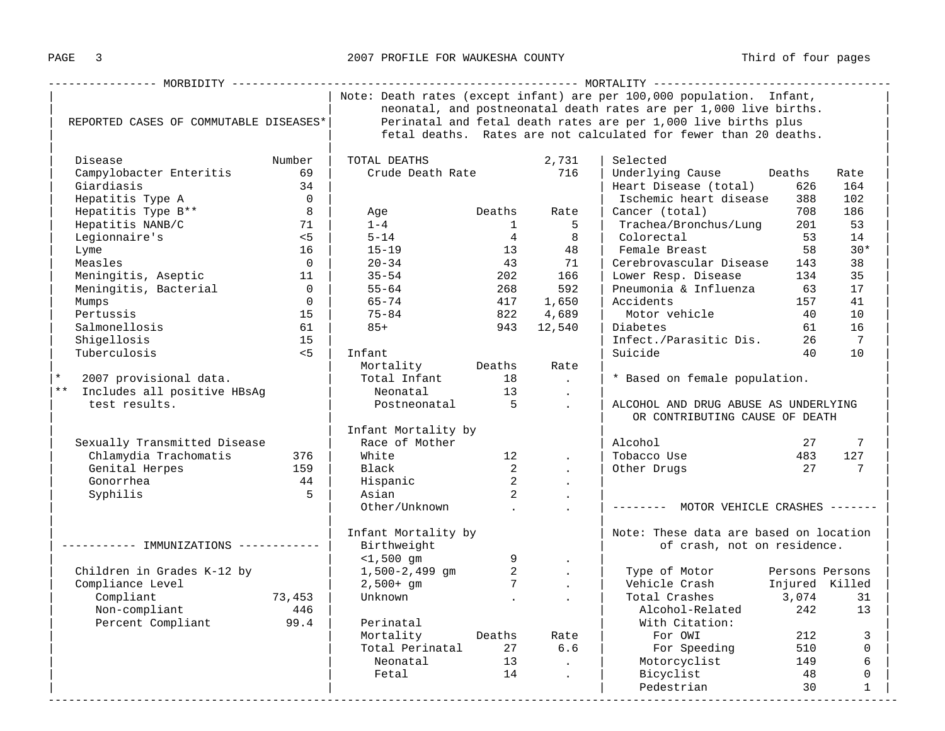|                                               |                                    |                                                                |                                           |                                                                       | Note: Death rates (except infant) are per 100,000 population. Infant, |                                                       |                |  |  |  |
|-----------------------------------------------|------------------------------------|----------------------------------------------------------------|-------------------------------------------|-----------------------------------------------------------------------|-----------------------------------------------------------------------|-------------------------------------------------------|----------------|--|--|--|
|                                               |                                    |                                                                |                                           |                                                                       | neonatal, and postneonatal death rates are per 1,000 live births.     |                                                       |                |  |  |  |
| REPORTED CASES OF COMMUTABLE DISEASES*        |                                    | Perinatal and fetal death rates are per 1,000 live births plus |                                           |                                                                       |                                                                       |                                                       |                |  |  |  |
|                                               |                                    |                                                                |                                           | fetal deaths. Rates are not calculated for fewer than 20 deaths.      |                                                                       |                                                       |                |  |  |  |
|                                               |                                    |                                                                |                                           |                                                                       |                                                                       |                                                       |                |  |  |  |
| Disease                                       | Number                             | TOTAL DEATHS                                                   |                                           | 2,731                                                                 | Selected                                                              |                                                       |                |  |  |  |
| Campylobacter Enteritis 69                    |                                    | Crude Death Rate 716                                           |                                           |                                                                       | Underlying Cause Deaths                                               |                                                       | Rate           |  |  |  |
| Giardiasis                                    | 34                                 |                                                                |                                           |                                                                       | Heart Disease (total)                                                 | 626                                                   | 164            |  |  |  |
| Hepatitis Type A                              | $\overline{0}$                     |                                                                |                                           |                                                                       | Ischemic heart disease                                                | 388                                                   | 102            |  |  |  |
| Hepatitis Type B**                            | 8 <sup>8</sup>                     | Age                                                            |                                           | Deaths Rate                                                           | Cancer (total)                                                        | 708                                                   | 186            |  |  |  |
| Hepatitis NANB/C                              | 71                                 |                                                                |                                           | $1 \quad 5$                                                           | Trachea/Bronchus/Lung                                                 | 201                                                   | 53             |  |  |  |
| Legionnaire's                                 | $< 5$                              | $5 - 14$                                                       |                                           |                                                                       |                                                                       | 53                                                    | 14             |  |  |  |
| Lyme                                          | 16                                 | $15 - 19$                                                      |                                           |                                                                       |                                                                       | 58                                                    | $30*$          |  |  |  |
| Measles                                       | $\overline{0}$                     | $20 - 34$                                                      |                                           | 43 71                                                                 | Cerebrovascular Disease                                               | 143                                                   | 38             |  |  |  |
|                                               |                                    |                                                                |                                           | 202 166                                                               | Lower Resp. Disease                                                   | 134                                                   | 35             |  |  |  |
| Meningitis, Bacterial 11  <br>Mumos 0   Mumos |                                    | $35 - 54$<br>$55 - 64$                                         |                                           | 268 592                                                               | Pneumonia & Influenza 63                                              |                                                       | 17             |  |  |  |
| Mumps                                         | $\overline{0}$                     |                                                                |                                           | 417 1,650                                                             | Accidents                                                             | 157                                                   | 41             |  |  |  |
| Pertussis                                     | 15                                 | 65–74<br>75–84                                                 | 822                                       | 4,689                                                                 | Motor vehicle 40                                                      |                                                       | 10             |  |  |  |
| Salmonellosis                                 | 61                                 | $85+$                                                          |                                           | 943 12,540                                                            | Diabetes                                                              | 61                                                    | 16             |  |  |  |
| Shigellosis                                   | 15                                 |                                                                |                                           |                                                                       | Infect./Parasitic Dis. 26                                             |                                                       | $\overline{7}$ |  |  |  |
| $\sim$ 5<br>Tuberculosis                      |                                    | Infant                                                         |                                           |                                                                       | Suicide                                                               | 40                                                    | 10             |  |  |  |
|                                               |                                    | Mortality Deaths                                               |                                           | Rate                                                                  |                                                                       |                                                       |                |  |  |  |
| 2007 provisional data.<br>$\star$             |                                    | Total Infant 18 .                                              |                                           |                                                                       | * Based on female population.                                         |                                                       |                |  |  |  |
| ** Includes all positive HBsAg                |                                    |                                                                |                                           |                                                                       |                                                                       |                                                       |                |  |  |  |
| test results.                                 |                                    |                                                                |                                           | ALCOHOL AND DRUG ABUSE AS UNDERLYING                                  |                                                                       |                                                       |                |  |  |  |
|                                               |                                    |                                                                |                                           |                                                                       | OR CONTRIBUTING CAUSE OF DEATH                                        |                                                       |                |  |  |  |
|                                               |                                    | Infant Mortality by                                            |                                           |                                                                       |                                                                       |                                                       |                |  |  |  |
| Sexually Transmitted Disease                  |                                    | Race of Mother                                                 |                                           |                                                                       | Alcohol                                                               |                                                       |                |  |  |  |
| Chlamydia Trachomatis 376                     |                                    | White                                                          |                                           | $\begin{array}{ccc} 12 & & . \\ 2 & & . \end{array}$                  | Tobacco Use                                                           | $\begin{array}{cc} & 27 & 7 \\ 483 & 127 \end{array}$ |                |  |  |  |
|                                               | 159                                | Black                                                          |                                           | $\sim$ 100 $\mu$                                                      | Other Drugs 27 27 7                                                   |                                                       |                |  |  |  |
| Gonorrhea                                     | Genital Herpes<br>44               |                                                                |                                           |                                                                       |                                                                       |                                                       |                |  |  |  |
|                                               | $5^{\circ}$                        | Hispanic<br>Acian<br>Asian                                     | $\overline{\mathbf{c}}$<br>$\overline{2}$ | $\sim 10^{-10}$                                                       |                                                                       |                                                       |                |  |  |  |
| Syphilis                                      |                                    | Other/Unknown .                                                |                                           | <b>Contract Contract</b>                                              | -------- MOTOR VEHICLE CRASHES -------                                |                                                       |                |  |  |  |
|                                               |                                    |                                                                |                                           | $\sim 10^{-10}$                                                       |                                                                       |                                                       |                |  |  |  |
|                                               |                                    |                                                                |                                           |                                                                       |                                                                       |                                                       |                |  |  |  |
| ---------- IMMUNIZATIONS ------------         | Infant Mortality by<br>Rirthweight |                                                                |                                           | Note: These data are based on location<br>of crash, not on residence. |                                                                       |                                                       |                |  |  |  |
|                                               |                                    |                                                                |                                           |                                                                       |                                                                       |                                                       |                |  |  |  |
|                                               |                                    | $-1,500$ gm 9<br>1,500-2,499 gm 2<br>2,500+ gm 7               |                                           | $\sim 10^{-10}$                                                       | Type of Motor Persons Persons                                         |                                                       |                |  |  |  |
| Children in Grades K-12 by                    |                                    |                                                                |                                           | $\sim 10^{-10}$                                                       | Vehicle Crash Injured Killed                                          |                                                       |                |  |  |  |
| Compliance Level<br>Compliant                 | 73,453                             |                                                                |                                           | <b>Contract Contract</b>                                              | Total Crashes                                                         | 3,074                                                 | 31             |  |  |  |
| Non-compliant                                 |                                    |                                                                |                                           |                                                                       | Alcohol-Related                                                       | 242                                                   |                |  |  |  |
|                                               | 446                                |                                                                |                                           |                                                                       |                                                                       |                                                       | 13             |  |  |  |
| Percent Compliant 99.4                        |                                    | Perinatal<br>Mortality Deaths Rate                             |                                           |                                                                       | With Citation:                                                        |                                                       | 212<br>3       |  |  |  |
|                                               |                                    |                                                                |                                           |                                                                       | For OWI                                                               |                                                       |                |  |  |  |
|                                               |                                    |                                                                |                                           |                                                                       | For Speeding 510<br>Motorcyclist 149                                  | 510                                                   | $\overline{0}$ |  |  |  |
|                                               |                                    |                                                                |                                           | <b>Contract Contract</b>                                              |                                                                       |                                                       | 6              |  |  |  |
|                                               |                                    | Fetal                                                          |                                           | 14 .                                                                  | Bicyclist                                                             | 48                                                    | $\Omega$       |  |  |  |
|                                               |                                    |                                                                |                                           |                                                                       | Pedestrian                                                            | 30                                                    | $\mathbf{1}$   |  |  |  |

-----------------------------------------------------------------------------------------------------------------------------